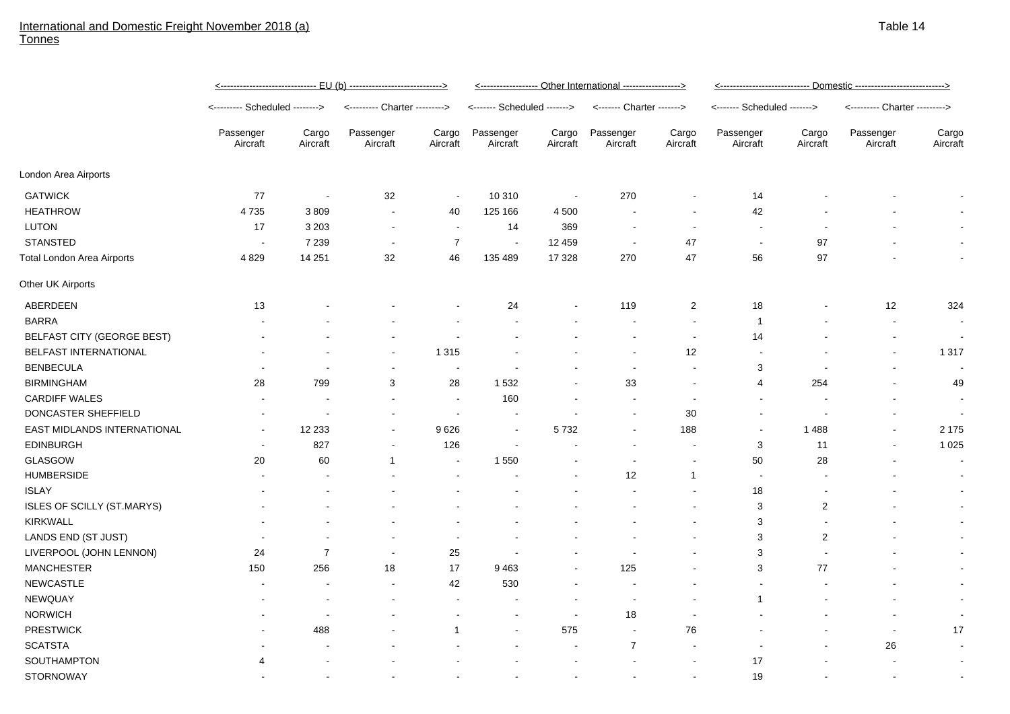## International and Domestic Freight November 2018 (a) **Tonnes**

|                                   | EU (b) -- <u>-----------------------------&gt;</u> |                   |                               |                   | <----------------- Other International -----------------> |                   |                           |                          |                             |                          |                               |                   |  |
|-----------------------------------|----------------------------------------------------|-------------------|-------------------------------|-------------------|-----------------------------------------------------------|-------------------|---------------------------|--------------------------|-----------------------------|--------------------------|-------------------------------|-------------------|--|
|                                   | <-------- Scheduled -------->                      |                   | <--------- Charter ---------> |                   | <------- Scheduled ------->                               |                   | <------- Charter -------> |                          | <------- Scheduled -------> |                          | <--------- Charter ---------> |                   |  |
|                                   | Passenger<br>Aircraft                              | Cargo<br>Aircraft | Passenger<br>Aircraft         | Cargo<br>Aircraft | Passenger<br>Aircraft                                     | Cargo<br>Aircraft | Passenger<br>Aircraft     | Cargo<br>Aircraft        | Passenger<br>Aircraft       | Cargo<br>Aircraft        | Passenger<br>Aircraft         | Cargo<br>Aircraft |  |
| London Area Airports              |                                                    |                   |                               |                   |                                                           |                   |                           |                          |                             |                          |                               |                   |  |
| <b>GATWICK</b>                    | 77                                                 | $\sim$            | 32                            | $\sim$            | 10 310                                                    |                   | 270                       | $\sim$                   | 14                          |                          |                               |                   |  |
| <b>HEATHROW</b>                   | 4 7 3 5                                            | 3809              | $\sim$                        | 40                | 125 166                                                   | 4 5 0 0           | $\sim$                    | $\sim$                   | 42                          |                          |                               |                   |  |
| <b>LUTON</b>                      | 17                                                 | 3 2 0 3           | $\blacksquare$                | $\sim$            | 14                                                        | 369               | $\sim$                    | $\blacksquare$           | $\sim$                      |                          |                               | $\sim$            |  |
| <b>STANSTED</b>                   | $\overline{\phantom{a}}$                           | 7 2 3 9           | $\sim$                        | $\overline{7}$    | $\sim$                                                    | 12 459            | $\overline{\phantom{a}}$  | 47                       | $\sim$                      | 97                       |                               | $\sim$            |  |
| <b>Total London Area Airports</b> | 4 8 2 9                                            | 14 251            | 32                            | 46                | 135 489                                                   | 17 3 28           | 270                       | 47                       | 56                          | 97                       |                               | $\sim$            |  |
| Other UK Airports                 |                                                    |                   |                               |                   |                                                           |                   |                           |                          |                             |                          |                               |                   |  |
| ABERDEEN                          | 13                                                 |                   |                               |                   | 24                                                        |                   | 119                       | 2                        | 18                          | $\overline{\phantom{a}}$ | 12                            | 324               |  |
| <b>BARRA</b>                      | $\overline{\phantom{a}}$                           |                   | $\overline{\phantom{a}}$      | $\blacksquare$    | $\sim$                                                    |                   | $\sim$                    | $\sim$                   |                             | $\blacksquare$           | $\sim$                        | $\sim$            |  |
| BELFAST CITY (GEORGE BEST)        | $\overline{\phantom{a}}$                           |                   |                               |                   |                                                           |                   |                           | $\overline{\phantom{a}}$ | 14                          |                          |                               |                   |  |
| BELFAST INTERNATIONAL             | $\overline{\phantom{a}}$                           | $\blacksquare$    | $\sim$                        | 1 3 1 5           | $\sim$                                                    | $\,$ $\,$         | $\sim$                    | 12                       | $\sim$                      |                          | $\blacksquare$                | 1 3 1 7           |  |
| <b>BENBECULA</b>                  |                                                    |                   | $\blacksquare$                |                   |                                                           |                   |                           | $\sim$                   | 3                           |                          | $\sim$                        |                   |  |
| <b>BIRMINGHAM</b>                 | 28                                                 | 799               | 3                             | 28                | 1532                                                      | $\sim$            | 33                        | $\sim$                   | 4                           | 254                      | $\sim$                        | 49                |  |
| <b>CARDIFF WALES</b>              | $\sim$                                             | $\blacksquare$    | $\overline{\phantom{a}}$      | $\sim$            | 160                                                       |                   | $\sim$                    |                          | $\sim$                      |                          |                               | $\sim$            |  |
| DONCASTER SHEFFIELD               |                                                    |                   |                               |                   |                                                           |                   | $\overline{\phantom{a}}$  | 30                       |                             |                          |                               |                   |  |
| EAST MIDLANDS INTERNATIONAL       | $\overline{\phantom{a}}$                           | 12 2 3 3          | $\blacksquare$                | 9626              | $\sim$                                                    | 5732              | $\overline{\phantom{a}}$  | 188                      | $\sim$                      | 1488                     | $\sim$                        | 2 1 7 5           |  |

| <u>UNUUTI WALLU</u>         |                          |                          |                          |                          | $\sim$                   |                          |                          |                          |                          |     |                          |                          |
|-----------------------------|--------------------------|--------------------------|--------------------------|--------------------------|--------------------------|--------------------------|--------------------------|--------------------------|--------------------------|-----|--------------------------|--------------------------|
| DONCASTER SHEFFIELD         | $\overline{\phantom{a}}$ | $\overline{\phantom{a}}$ | $\overline{\phantom{a}}$ |                          | $\blacksquare$           | $\overline{\phantom{a}}$ | $\,$                     | 30                       | $\overline{\phantom{a}}$ |     | $\overline{\phantom{a}}$ | $\overline{\phantom{a}}$ |
| EAST MIDLANDS INTERNATIONAL | $\blacksquare$           | 12 2 33                  | $\overline{\phantom{a}}$ | 9626                     | $\sim$                   | 5732                     | $\sim$                   | 188                      | $\,$                     | 488 | $\sim$                   | 2 1 7 5                  |
| <b>EDINBURGH</b>            | $\,$ $\,$                | 827                      | $\overline{\phantom{a}}$ | 126                      | $\overline{\phantom{a}}$ |                          |                          |                          | 3                        | 11  | $\,$ $\,$                | 1 0 2 5                  |
| GLASGOW                     | 20                       | 60                       |                          | $\sim$                   | 1 5 5 0                  | ۰                        |                          |                          | 50                       | 28  |                          | $\overline{\phantom{a}}$ |
| <b>HUMBERSIDE</b>           | $\overline{\phantom{a}}$ | $\overline{\phantom{a}}$ |                          |                          | $\overline{\phantom{a}}$ | $\,$ $\,$                | 12                       |                          |                          |     |                          | $\overline{\phantom{a}}$ |
| <b>ISLAY</b>                | $\,$                     | $\overline{\phantom{a}}$ |                          |                          | $\blacksquare$           | $\overline{\phantom{a}}$ | $\overline{\phantom{a}}$ | $\overline{\phantom{a}}$ | 18                       |     |                          | $\overline{\phantom{a}}$ |
| ISLES OF SCILLY (ST.MARYS)  |                          | $\,$ $\,$                |                          |                          | $\overline{\phantom{a}}$ |                          |                          | $\overline{\phantom{a}}$ | 3                        | 2   |                          |                          |
| KIRKWALL                    |                          | $\overline{\phantom{a}}$ | $\overline{\phantom{a}}$ | $\sim$                   | $\overline{\phantom{a}}$ | ۰                        |                          | $\blacksquare$           | 3                        |     |                          |                          |
| LANDS END (ST JUST)         | $\,$                     | $\sim$                   | $\overline{\phantom{a}}$ | $\sim$                   | $\,$ $\,$                | $\,$ $\,$                | $\,$                     | $\overline{\phantom{a}}$ | 3                        | 2   | $\,$                     |                          |
| LIVERPOOL (JOHN LENNON)     | 24                       | $\overline{ }$           | $\overline{\phantom{a}}$ | 25                       | $\overline{\phantom{a}}$ | $\overline{\phantom{0}}$ |                          | $\overline{\phantom{a}}$ | 3                        |     |                          | $\overline{\phantom{a}}$ |
| <b>MANCHESTER</b>           | 150                      | 256                      | 18                       | 17                       | 9463                     | $\blacksquare$           | 125                      | $\overline{\phantom{a}}$ | 3                        | 77  | $\,$                     | $\sim$                   |
| <b>NEWCASTLE</b>            | $\,$ $\,$                | $\sim$                   | $\overline{\phantom{a}}$ | 42                       | 530                      | $\overline{\phantom{a}}$ |                          |                          |                          |     |                          |                          |
| <b>NEWQUAY</b>              | $\,$                     | $\sim$                   | $\overline{\phantom{a}}$ | $\overline{\phantom{0}}$ | $\overline{\phantom{a}}$ | $\overline{\phantom{a}}$ |                          |                          | $\overline{A}$           |     | $\overline{\phantom{a}}$ | $\overline{\phantom{a}}$ |
| <b>NORWICH</b>              | $\,$ $\,$                | $\,$ $\,$                |                          |                          | $\overline{\phantom{a}}$ |                          | 18                       |                          |                          |     |                          | $\overline{\phantom{a}}$ |
| <b>PRESTWICK</b>            | $\overline{\phantom{a}}$ | 488                      | $\blacksquare$           |                          | $\sim$                   | 575                      | $\overline{\phantom{a}}$ | 76                       |                          |     | $\overline{\phantom{a}}$ | 17                       |
| <b>SCATSTA</b>              |                          | $\,$ $\,$                |                          |                          | $\sim$                   | $\overline{\phantom{a}}$ | $\overline{\phantom{a}}$ | $\blacksquare$           |                          |     | 26                       | $\overline{\phantom{a}}$ |
| SOUTHAMPTON                 |                          | $\overline{\phantom{a}}$ |                          |                          |                          |                          |                          |                          | 17                       |     |                          |                          |
| <b>STORNOWAY</b>            |                          |                          |                          |                          |                          | $\overline{\phantom{a}}$ |                          |                          | 19                       |     |                          | $\overline{\phantom{a}}$ |